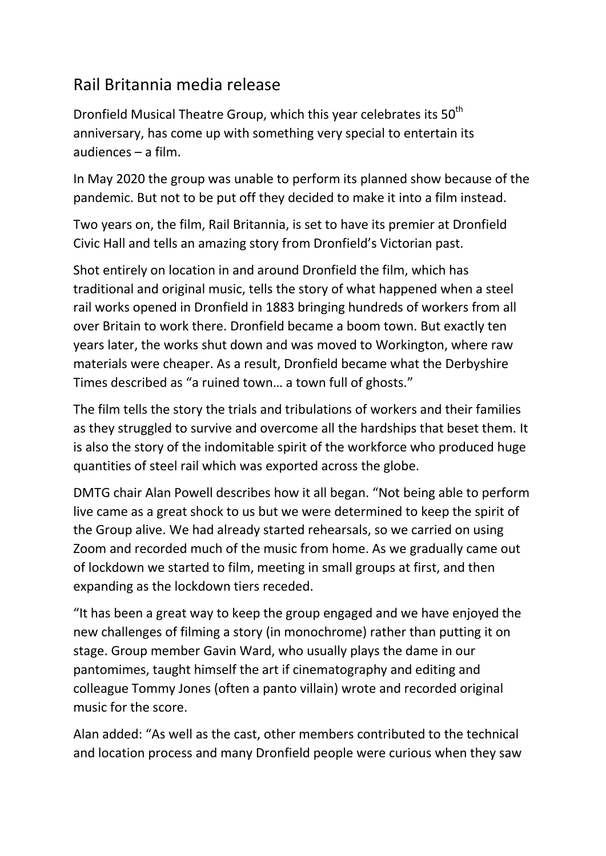## Rail Britannia media release

Dronfield Musical Theatre Group, which this year celebrates its 50<sup>th</sup> anniversary, has come up with something very special to entertain its audiences – a film.

In May 2020 the group was unable to perform its planned show because of the pandemic. But not to be put off they decided to make it into a film instead.

Two years on, the film, Rail Britannia, is set to have its premier at Dronfield Civic Hall and tells an amazing story from Dronfield's Victorian past.

Shot entirely on location in and around Dronfield the film, which has traditional and original music, tells the story of what happened when a steel rail works opened in Dronfield in 1883 bringing hundreds of workers from all over Britain to work there. Dronfield became a boom town. But exactly ten years later, the works shut down and was moved to Workington, where raw materials were cheaper. As a result, Dronfield became what the Derbyshire Times described as "a ruined town… a town full of ghosts."

The film tells the story the trials and tribulations of workers and their families as they struggled to survive and overcome all the hardships that beset them. It is also the story of the indomitable spirit of the workforce who produced huge quantities of steel rail which was exported across the globe.

DMTG chair Alan Powell describes how it all began. "Not being able to perform live came as a great shock to us but we were determined to keep the spirit of the Group alive. We had already started rehearsals, so we carried on using Zoom and recorded much of the music from home. As we gradually came out of lockdown we started to film, meeting in small groups at first, and then expanding as the lockdown tiers receded.

"It has been a great way to keep the group engaged and we have enjoyed the new challenges of filming a story (in monochrome) rather than putting it on stage. Group member Gavin Ward, who usually plays the dame in our pantomimes, taught himself the art if cinematography and editing and colleague Tommy Jones (often a panto villain) wrote and recorded original music for the score.

Alan added: "As well as the cast, other members contributed to the technical and location process and many Dronfield people were curious when they saw